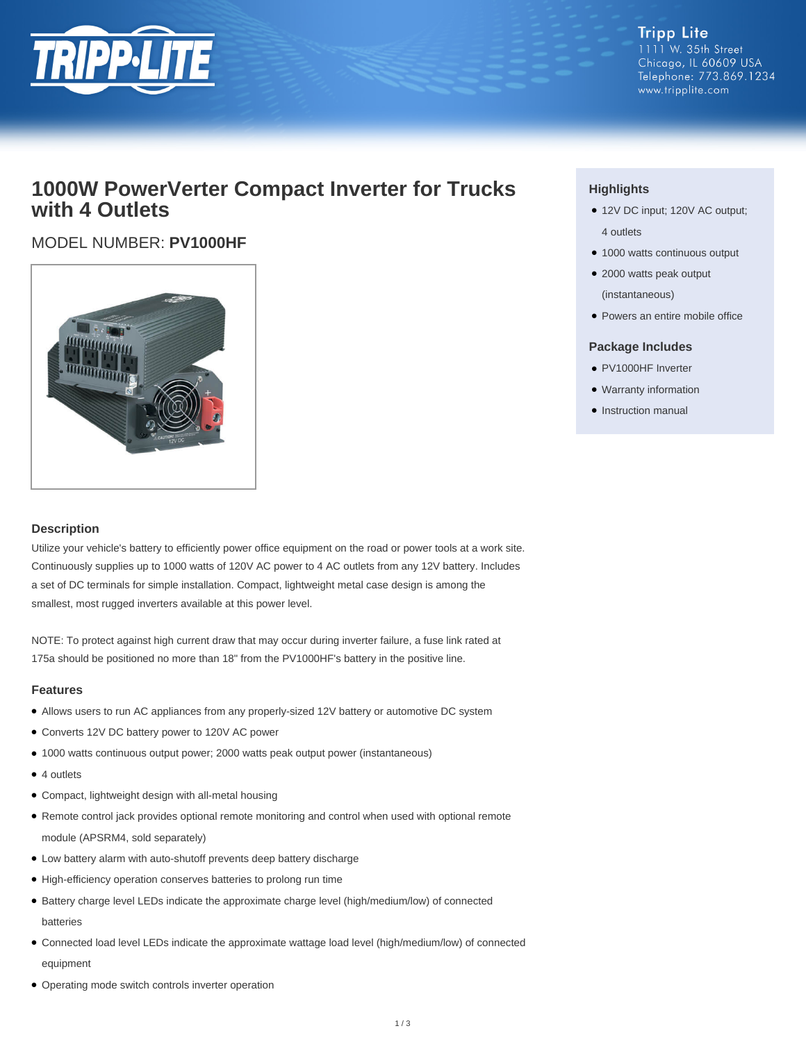

**Tripp Lite** 1111 W. 35th Street Chicago, IL 60609 USA Telephone: 773.869.1234 www.tripplite.com

### **1000W PowerVerter Compact Inverter for Trucks with 4 Outlets**

### MODEL NUMBER: **PV1000HF**



#### **Description**

Utilize your vehicle's battery to efficiently power office equipment on the road or power tools at a work site. Continuously supplies up to 1000 watts of 120V AC power to 4 AC outlets from any 12V battery. Includes a set of DC terminals for simple installation. Compact, lightweight metal case design is among the smallest, most rugged inverters available at this power level.

NOTE: To protect against high current draw that may occur during inverter failure, a fuse link rated at 175a should be positioned no more than 18" from the PV1000HF's battery in the positive line.

#### **Features**

- Allows users to run AC appliances from any properly-sized 12V battery or automotive DC system
- Converts 12V DC battery power to 120V AC power
- 1000 watts continuous output power; 2000 watts peak output power (instantaneous)
- 4 outlets
- Compact, lightweight design with all-metal housing
- Remote control jack provides optional remote monitoring and control when used with optional remote module (APSRM4, sold separately)
- Low battery alarm with auto-shutoff prevents deep battery discharge
- High-efficiency operation conserves batteries to prolong run time
- Battery charge level LEDs indicate the approximate charge level (high/medium/low) of connected batteries
- Connected load level LEDs indicate the approximate wattage load level (high/medium/low) of connected equipment
- Operating mode switch controls inverter operation

#### **Highlights**

- 12V DC input; 120V AC output; 4 outlets
- 1000 watts continuous output
- 2000 watts peak output (instantaneous)
- Powers an entire mobile office

#### **Package Includes**

- PV1000HF Inverter
- Warranty information
- Instruction manual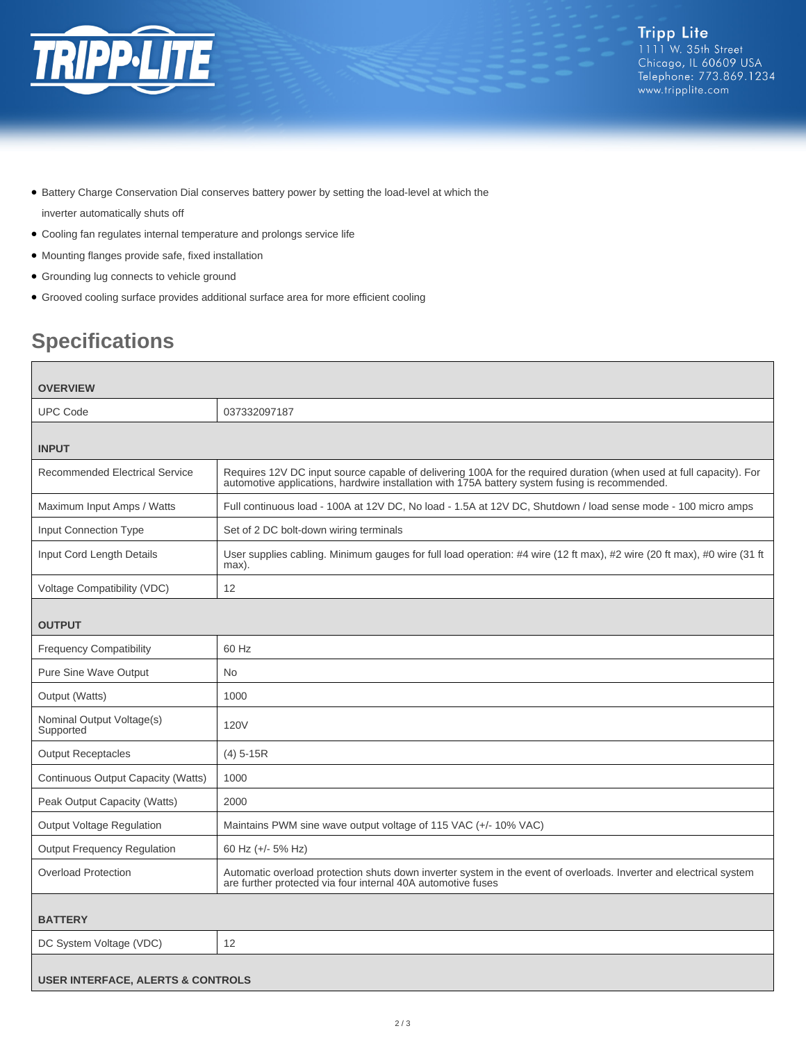

- Battery Charge Conservation Dial conserves battery power by setting the load-level at which the inverter automatically shuts off
- Cooling fan regulates internal temperature and prolongs service life
- Mounting flanges provide safe, fixed installation
- Grounding lug connects to vehicle ground
- Grooved cooling surface provides additional surface area for more efficient cooling

## **Specifications**

| <b>OVERVIEW</b>                              |                                                                                                                                                                                                                       |  |
|----------------------------------------------|-----------------------------------------------------------------------------------------------------------------------------------------------------------------------------------------------------------------------|--|
| <b>UPC Code</b>                              | 037332097187                                                                                                                                                                                                          |  |
| <b>INPUT</b>                                 |                                                                                                                                                                                                                       |  |
| <b>Recommended Electrical Service</b>        | Requires 12V DC input source capable of delivering 100A for the required duration (when used at full capacity). For<br>automotive applications, hardwire installation with 175A battery system fusing is recommended. |  |
| Maximum Input Amps / Watts                   | Full continuous load - 100A at 12V DC, No load - 1.5A at 12V DC, Shutdown / load sense mode - 100 micro amps                                                                                                          |  |
| Input Connection Type                        | Set of 2 DC bolt-down wiring terminals                                                                                                                                                                                |  |
| Input Cord Length Details                    | User supplies cabling. Minimum gauges for full load operation: #4 wire (12 ft max), #2 wire (20 ft max), #0 wire (31 ft<br>max).                                                                                      |  |
| Voltage Compatibility (VDC)                  | 12                                                                                                                                                                                                                    |  |
| <b>OUTPUT</b>                                |                                                                                                                                                                                                                       |  |
| <b>Frequency Compatibility</b>               | 60 Hz                                                                                                                                                                                                                 |  |
| Pure Sine Wave Output                        | No.                                                                                                                                                                                                                   |  |
| Output (Watts)                               | 1000                                                                                                                                                                                                                  |  |
| Nominal Output Voltage(s)<br>Supported       | <b>120V</b>                                                                                                                                                                                                           |  |
| <b>Output Receptacles</b>                    | $(4)$ 5-15R                                                                                                                                                                                                           |  |
| Continuous Output Capacity (Watts)           | 1000                                                                                                                                                                                                                  |  |
| Peak Output Capacity (Watts)                 | 2000                                                                                                                                                                                                                  |  |
| Output Voltage Regulation                    | Maintains PWM sine wave output voltage of 115 VAC (+/- 10% VAC)                                                                                                                                                       |  |
| <b>Output Frequency Regulation</b>           | 60 Hz (+/- 5% Hz)                                                                                                                                                                                                     |  |
| <b>Overload Protection</b>                   | Automatic overload protection shuts down inverter system in the event of overloads. Inverter and electrical system<br>are further protected via four internal 40A automotive fuses                                    |  |
| <b>BATTERY</b>                               |                                                                                                                                                                                                                       |  |
| DC System Voltage (VDC)                      | 12                                                                                                                                                                                                                    |  |
| <b>USER INTERFACE, ALERTS &amp; CONTROLS</b> |                                                                                                                                                                                                                       |  |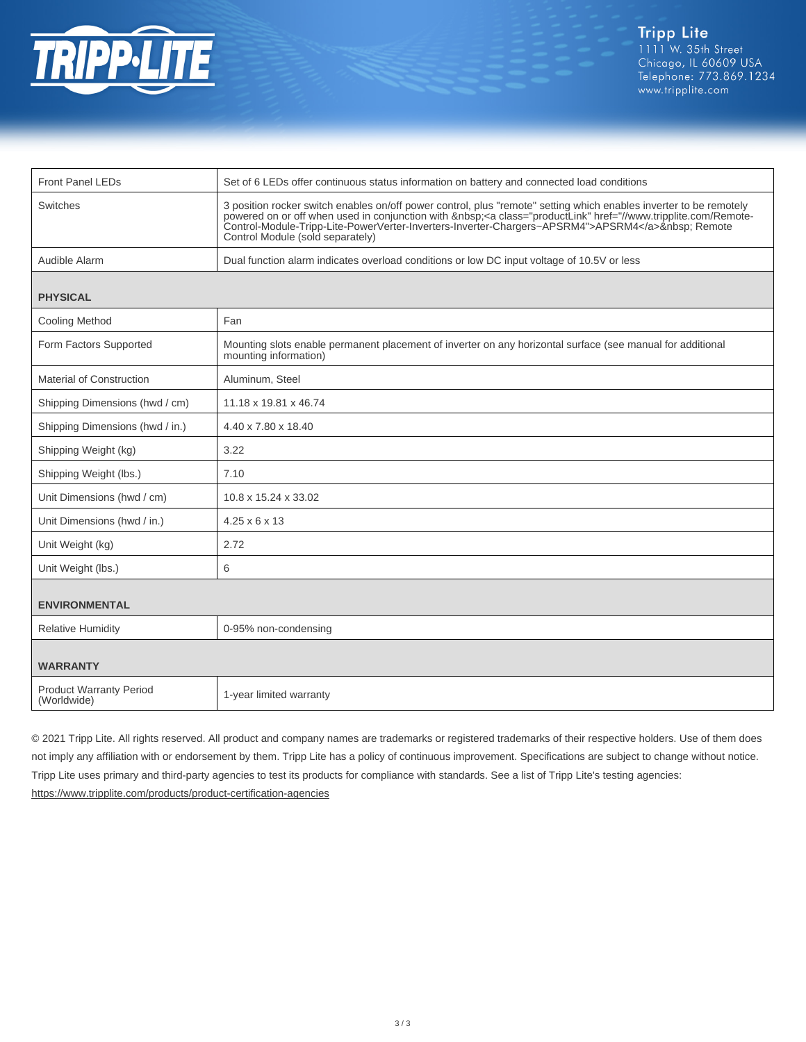

| <b>Front Panel LEDs</b>                       | Set of 6 LEDs offer continuous status information on battery and connected load conditions                                                                                                                                                                                                                                                                              |
|-----------------------------------------------|-------------------------------------------------------------------------------------------------------------------------------------------------------------------------------------------------------------------------------------------------------------------------------------------------------------------------------------------------------------------------|
| <b>Switches</b>                               | 3 position rocker switch enables on/off power control, plus "remote" setting which enables inverter to be remotely<br>powered on or off when used in conjunction with <a class="productLink" href="//www.tripplite.com/Remote-&lt;br&gt;Control-Module-Tripp-Lite-PowerVerter-Inverters-Inverter-Chargers~APSRM4">APSRM4</a> Remote<br>Control Module (sold separately) |
| Audible Alarm                                 | Dual function alarm indicates overload conditions or low DC input voltage of 10.5V or less                                                                                                                                                                                                                                                                              |
| <b>PHYSICAL</b>                               |                                                                                                                                                                                                                                                                                                                                                                         |
| <b>Cooling Method</b>                         | Fan                                                                                                                                                                                                                                                                                                                                                                     |
| Form Factors Supported                        | Mounting slots enable permanent placement of inverter on any horizontal surface (see manual for additional<br>mounting information)                                                                                                                                                                                                                                     |
| <b>Material of Construction</b>               | Aluminum, Steel                                                                                                                                                                                                                                                                                                                                                         |
| Shipping Dimensions (hwd / cm)                | 11.18 x 19.81 x 46.74                                                                                                                                                                                                                                                                                                                                                   |
| Shipping Dimensions (hwd / in.)               | 4.40 x 7.80 x 18.40                                                                                                                                                                                                                                                                                                                                                     |
| Shipping Weight (kg)                          | 3.22                                                                                                                                                                                                                                                                                                                                                                    |
| Shipping Weight (lbs.)                        | 7.10                                                                                                                                                                                                                                                                                                                                                                    |
| Unit Dimensions (hwd / cm)                    | 10.8 x 15.24 x 33.02                                                                                                                                                                                                                                                                                                                                                    |
| Unit Dimensions (hwd / in.)                   | $4.25 \times 6 \times 13$                                                                                                                                                                                                                                                                                                                                               |
| Unit Weight (kg)                              | 2.72                                                                                                                                                                                                                                                                                                                                                                    |
| Unit Weight (lbs.)                            | 6                                                                                                                                                                                                                                                                                                                                                                       |
| <b>ENVIRONMENTAL</b>                          |                                                                                                                                                                                                                                                                                                                                                                         |
| <b>Relative Humidity</b>                      | 0-95% non-condensing                                                                                                                                                                                                                                                                                                                                                    |
| <b>WARRANTY</b>                               |                                                                                                                                                                                                                                                                                                                                                                         |
| <b>Product Warranty Period</b><br>(Worldwide) | 1-year limited warranty                                                                                                                                                                                                                                                                                                                                                 |

© 2021 Tripp Lite. All rights reserved. All product and company names are trademarks or registered trademarks of their respective holders. Use of them does not imply any affiliation with or endorsement by them. Tripp Lite has a policy of continuous improvement. Specifications are subject to change without notice. Tripp Lite uses primary and third-party agencies to test its products for compliance with standards. See a list of Tripp Lite's testing agencies: <https://www.tripplite.com/products/product-certification-agencies>